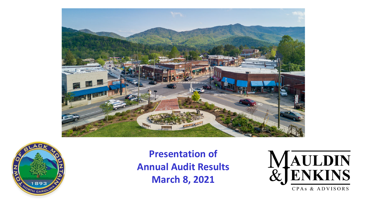



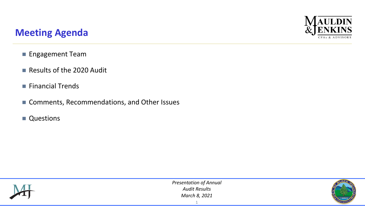# **AULDIN** CPAs & ADVISORS

### **Meeting Agenda**

- **Engagement Team**
- Results of the 2020 Audit
- $\blacksquare$  Financial Trends
- Comments, Recommendations, and Other Issues
- **Questions**



*Presentation of Annual Audit Results March 8, 2021*

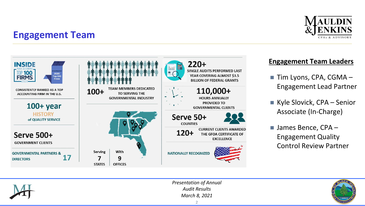

### **Engagement Team**



### **Engagement Team Leaders**

- Tim Lyons, CPA, CGMA Engagement Lead Partner
- Kyle Slovick, CPA Senior Associate (In-Charge)
- James Bence, CPA Engagement Quality Control Review Partner



*Presentation of Annual Audit Results March 8, 2021*

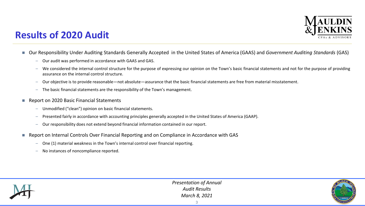

### **Results of 2020 Audit**

- Our Responsibility Under Auditing Standards Generally Accepted in the United States of America (GAAS) and *Government Auditing Standards* (GAS)
	- Our audit was performed in accordance with GAAS and GAS.
	- We considered the internal control structure for the purpose of expressing our opinion on the Town's basic financial statements and not for the purpose of providing assurance on the internal control structure.
	- Our objective is to provide reasonable—not absolute—assurance that the basic financial statements are free from material misstatement.
	- The basic financial statements are the responsibility of the Town's management.
- Report on 2020 Basic Financial Statements
	- Unmodified ("clean") opinion on basic financial statements.
	- Presented fairly in accordance with accounting principles generally accepted in the United States of America (GAAP).
	- Our responsibility does not extend beyond financial information contained in our report.
- Report on Internal Controls Over Financial Reporting and on Compliance in Accordance with GAS
	- One (1) material weakness in the Town's internal control over financial reporting.
	- No instances of noncompliance reported.



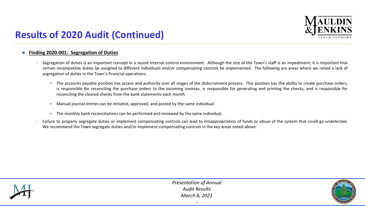

## **Results of 2020 Audit (Continued)**

#### **Finding 2020-001: Segregation of Duties**

- Segregation of duties is an important concept in a sound internal control environment. Although the size of the Town's staff is an impediment, it is important that certain incompatible duties be assigned to different individuals and/or compensating controls be implemented. The following are areas where we noted a lack of segregation of duties in the Town's financial operations:
	- The accounts payable position has access and authority over all stages of the disbursement process. This position has the ability to create purchase orders, is responsible for reconciling the purchase orders to the incoming invoices, is responsible for generating and printing the checks, and is responsible for reconciling the cleared checks from the bank statements each month.
	- Manual journal entries can be initiated, approved, and posted by the same individual.
	- The monthly bank reconciliations can be performed and reviewed by the same individual.
- Failure to properly segregate duties or implement compensating controls can lead to misappropriation of funds or abuse of the system that could go undetected. We recommend the Town segregate duties and/or implement compensating controls in the key areas noted above.



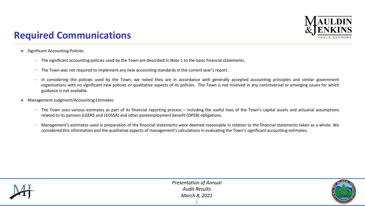

## **Required Communications**

- Significant Accounting Policies
	- The significant accounting policies used by the Town are described in Note 1 to the basic financial statements.
	- The Town was not required to implement any new accounting standards in the current year's report.
	- In considering the policies used by the Town, we noted they are in accordance with generally accepted accounting principles and similar government organizations with no significant new policies or qualitative aspects of its policies. The Town is not involved in any controversial or emerging issues for which guidance is not available.
- Management Judgment/Accounting Estimates
	- The Town uses various estimates as part of its financial reporting process including the useful lives of the Town's capital assets and actuarial assumptions related to its pension (LGERS and LEOSSA) and other postemployment benefit (OPEB) obligations.
	- Management's estimates used in preparation of the financial statements were deemed reasonable in relation to the financial statements taken as a whole. We considered this information and the qualitative aspects of management's calculations in evaluating the Town's significant accounting estimates.



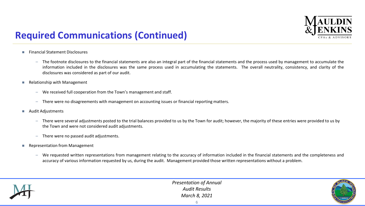

## **Required Communications (Continued)**

- **Financial Statement Disclosures** 
	- The footnote disclosures to the financial statements are also an integral part of the financial statements and the process used by management to accumulate the information included in the disclosures was the same process used in accumulating the statements. The overall neutrality, consistency, and clarity of the disclosures was considered as part of our audit.
- Relationship with Management
	- We received full cooperation from the Town's management and staff.
	- There were no disagreements with management on accounting issues or financial reporting matters.
- **Audit Adjustments** 
	- There were several adjustments posted to the trial balances provided to us by the Town for audit; however, the majority of these entries were provided to us by the Town and were not considered audit adjustments.
	- There were no passed audit adjustments.
- Representation from Management
	- We requested written representations from management relating to the accuracy of information included in the financial statements and the completeness and accuracy of various information requested by us, during the audit. Management provided those written representations without a problem.



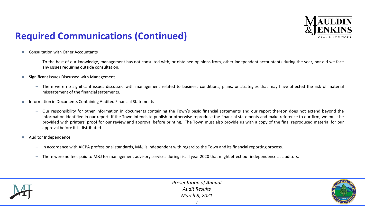

## **Required Communications (Continued)**

- Consultation with Other Accountants
	- To the best of our knowledge, management has not consulted with, or obtained opinions from, other independent accountants during the year, nor did we face any issues requiring outside consultation.
- Significant Issues Discussed with Management
	- There were no significant issues discussed with management related to business conditions, plans, or strategies that may have affected the risk of material misstatement of the financial statements.
- **Information in Documents Containing Audited Financial Statements** 
	- Our responsibility for other information in documents containing the Town's basic financial statements and our report thereon does not extend beyond the information identified in our report. If the Town intends to publish or otherwise reproduce the financial statements and make reference to our firm, we must be provided with printers' proof for our review and approval before printing. The Town must also provide us with a copy of the final reproduced material for our approval before it is distributed.
- Auditor Independence
	- In accordance with AICPA professional standards, M&J is independent with regard to the Town and its financial reporting process.
	- There were no fees paid to M&J for management advisory services during fiscal year 2020 that might effect our independence as auditors.



*Presentation of Annual Audit Results March 8, 2021*

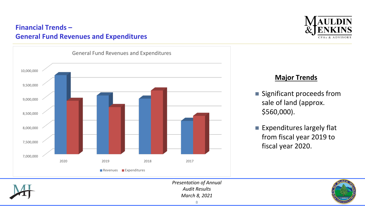### **Financial Trends – General Fund Revenues and Expenditures**



# **AULDIN** CPAS & ADVISORS

#### **Major Trends**

- **Significant proceeds from** sale of land (approx. \$560,000).
- **Expenditures largely flat** from fiscal year 2019 to fiscal year 2020.



*Presentation of Annual Audit Results March 8, 2021*

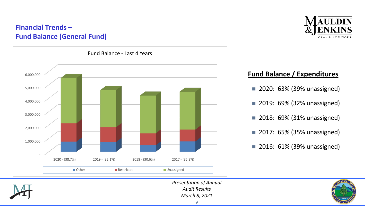### **Financial Trends – Fund Balance (General Fund)**





#### **Fund Balance / Expenditures**

- **2020: 63% (39% unassigned)**
- 2019: 69% (32% unassigned)
- **2018: 69% (31% unassigned)**
- **2017: 65% (35% unassigned)**
- **2016: 61% (39% unassigned)**



*Presentation of Annual Audit Results March 8, 2021*

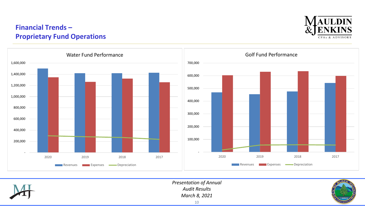### **Financial Trends – Proprietary Fund Operations**







*Presentation of Annual Audit Results March 8, 2021*

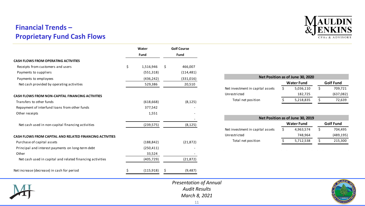### **Financial Trends – Proprietary Fund Cash Flows**

|                                                           | Water<br><b>Fund</b> |            | <b>Golf Course</b><br><b>Fund</b> |            |
|-----------------------------------------------------------|----------------------|------------|-----------------------------------|------------|
|                                                           |                      |            |                                   |            |
| <b>CASH FLOWS FROM OPERATING ACTIVITIES</b>               |                      |            |                                   |            |
| Receipts from customers and users                         | \$                   | 1,516,946  | \$                                | 466,007    |
| Payments to suppliers                                     |                      | (551, 318) |                                   | (114, 481) |
| Payments to employees                                     |                      | (436, 242) |                                   | (331,016)  |
| Net cash provided by operating activities                 |                      | 529,386    |                                   | 20,510     |
| CASH FLOWS FROM NON-CAPITAL FINANCING ACTIVITIES          |                      |            |                                   |            |
| Transfers to other funds                                  |                      | (618, 668) |                                   | (8, 125)   |
| Repayment of interfund loans from other funds             |                      | 377,542    |                                   |            |
| Other receipts                                            |                      | 1,551      |                                   |            |
| Net cash used in non-capital financing activities         |                      | (239, 575) |                                   | (8, 125)   |
| CASH FLOWS FROM CAPITAL AND RELATED FINANCING ACTIVITIES  |                      |            |                                   |            |
| Purchase of capital assets                                |                      | (188, 842) |                                   | (21, 872)  |
| Principal and interest payments on long-term debt         |                      | (250, 411) |                                   |            |
| Other                                                     |                      | 33,524     |                                   |            |
| Net cash used in capital and related financing activities |                      | (405, 729) |                                   | (21, 872)  |
| Net increase (decrease) in cash for period                |                      | (115, 918) | Ş                                 | (9,487)    |



| Net Position as of June 30, 2020 |                   |           |                  |           |  |  |  |
|----------------------------------|-------------------|-----------|------------------|-----------|--|--|--|
|                                  | <b>Water Fund</b> |           | <b>Golf Fund</b> |           |  |  |  |
| Net investment in capital assets | S.                | 5,036,110 | S                | 709,721   |  |  |  |
| Unrestricted                     |                   | 182,725   |                  | (637,082) |  |  |  |
| Total net position               |                   | 5,218,835 |                  | 72,639    |  |  |  |

| Net Position as of June 30, 2019 |                   |           |                  |            |  |  |  |
|----------------------------------|-------------------|-----------|------------------|------------|--|--|--|
|                                  | <b>Water Fund</b> |           | <b>Golf Fund</b> |            |  |  |  |
| Net investment in capital assets | $\varsigma$       | 4,963,574 |                  | 704,495    |  |  |  |
| Unrestricted                     |                   | 748,964   |                  | (489, 195) |  |  |  |
| Total net position               |                   | 5,712,538 |                  | 215,300    |  |  |  |

 $\Delta\phi$  and  $\Delta\phi$ 



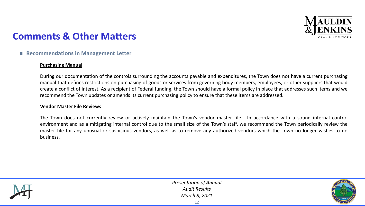

### **Comments & Other Matters**

#### ■ Recommendations in Management Letter

#### **Purchasing Manual**

During our documentation of the controls surrounding the accounts payable and expenditures, the Town does not have a current purchasing manual that defines restrictions on purchasing of goods or services from governing body members, employees, or other suppliers that would create a conflict of interest. As a recipient of Federal funding, the Town should have a formal policy in place that addresses such items and we recommend the Town updates or amends its current purchasing policy to ensure that these items are addressed.

#### **Vendor Master File Reviews**

The Town does not currently review or actively maintain the Town's vendor master file. In accordance with a sound internal control environment and as a mitigating internal control due to the small size of the Town's staff, we recommend the Town periodically review the master file for any unusual or suspicious vendors, as well as to remove any authorized vendors which the Town no longer wishes to do business.



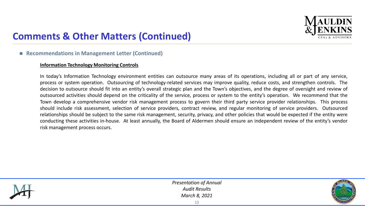

## **Comments & Other Matters (Continued)**

#### ■ Recommendations in Management Letter (Continued)

#### **Information Technology Monitoring Controls**

In today's Information Technology environment entities can outsource many areas of its operations, including all or part of any service, process or system operation. Outsourcing of technology-related services may improve quality, reduce costs, and strengthen controls. The decision to outsource should fit into an entity's overall strategic plan and the Town's objectives, and the degree of oversight and review of outsourced activities should depend on the criticality of the service, process or system to the entity's operation. We recommend that the Town develop a comprehensive vendor risk management process to govern their third party service provider relationships. This process should include risk assessment, selection of service providers, contract review, and regular monitoring of service providers. Outsourced relationships should be subject to the same risk management, security, privacy, and other policies that would be expected if the entity were conducting these activities in-house. At least annually, the Board of Aldermen should ensure an independent review of the entity's vendor risk management process occurs.



*Presentation of Annual Audit Results March 8, 2021*

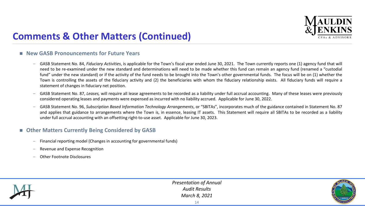

## **Comments & Other Matters (Continued)**

#### ■ New GASB Pronouncements for Future Years

- GASB Statement No. 84, *Fiduciary Activities*, is applicable for the Town's fiscal year ended June 30, 2021. The Town currently reports one (1) agency fund that will need to be re-examined under the new standard and determinations will need to be made whether this fund can remain an agency fund (renamed a "custodial fund" under the new standard) or if the activity of the fund needs to be brought into the Town's other governmental funds. The focus will be on (1) whether the Town is controlling the assets of the fiduciary activity and (2) the beneficiaries with whom the fiduciary relationship exists. All fiduciary funds will require a statement of changes in fiduciary net position.
- GASB Statement No. 87, *Leases,* will require all lease agreements to be recorded as a liability under full accrual accounting. Many of these leases were previously considered operating leases and payments were expensed as incurred with no liability accrued. Applicable for June 30, 2022.
- GASB Statement No. 96, *Subscription Based Information Technology Arrangements*, or "SBITAs", incorporates much of the guidance contained in Statement No. 87 and applies that guidance to arrangements where the Town is, in essence, leasing IT assets. This Statement will require all SBITAs to be recorded as a liability under full accrual accounting with an offsetting right-to-use asset. Applicable for June 30, 2023.

#### **Other Matters Currently Being Considered by GASB**

- Financial reporting model (Changes in accounting for governmental funds)
- Revenue and Expense Recognition
- Other Footnote Disclosures



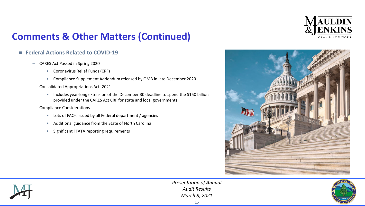

## **Comments & Other Matters (Continued)**

#### **Federal Actions Related to COVID-19**

- CARES Act Passed in Spring 2020
	- Coronavirus Relief Funds (CRF)
	- Compliance Supplement Addendum released by OMB in late December 2020
- Consolidated Appropriations Act, 2021
	- Includes year-long extension of the December 30 deadline to spend the \$150 billion provided under the CARES Act CRF for state and local governments
- Compliance Considerations
	- Lots of FAQs issued by all Federal department / agencies
	- Additional guidance from the State of North Carolina
	- Significant FFATA reporting requirements





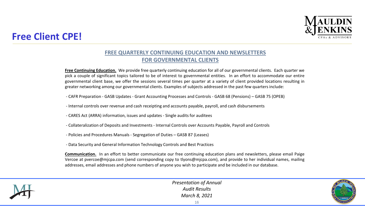

### **Free Client CPE!**

#### **FREE QUARTERLY CONTINUING EDUCATION AND NEWSLETTERS FOR GOVERNMENTAL CLIENTS**

**Free Continuing Education.** We provide free quarterly continuing education for all of our governmental clients. Each quarter we pick a couple of significant topics tailored to be of interest to governmental entities. In an effort to accommodate our entire governmental client base, we offer the sessions several times per quarter at a variety of client provided locations resulting in greater networking among our governmental clients. Examples of subjects addressed in the past few quarters include:

- CAFR Preparation GASB Updates Grant Accounting Processes and Controls GASB 68 (Pensions) GASB 75 (OPEB)
- Internal controls over revenue and cash receipting and accounts payable, payroll, and cash disbursements
- CARES Act (ARRA) information, issues and updates Single audits for auditees
- Collateralization of Deposits and Investments Internal Controls over Accounts Payable, Payroll and Controls
- Policies and Procedures Manuals Segregation of Duties GASB 87 (Leases)
- Data Security and General Information Technology Controls and Best Practices

**Communication.** In an effort to better communicate our free continuing education plans and newsletters, please email Paige Vercoe at pvercoe@mjcpa.com (send corresponding copy to tlyons@mjcpa.com), and provide to her individual names, mailing addresses, email addresses and phone numbers of anyone you wish to participate and be included in our database.